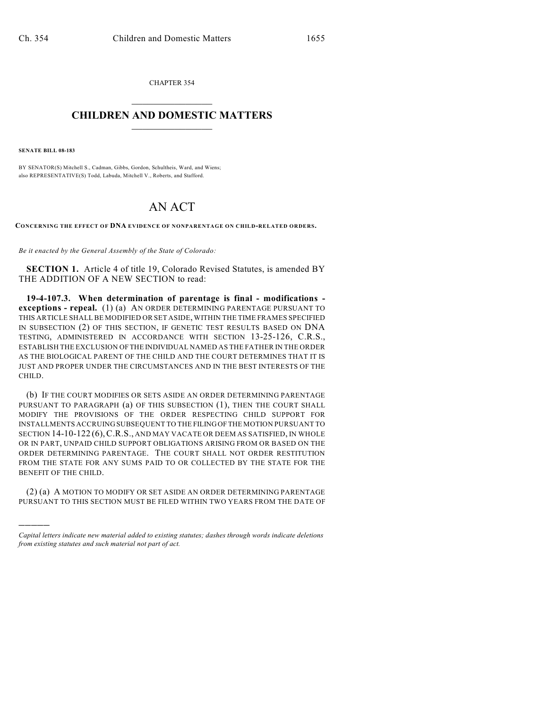CHAPTER 354  $\mathcal{L}_\text{max}$  . The set of the set of the set of the set of the set of the set of the set of the set of the set of the set of the set of the set of the set of the set of the set of the set of the set of the set of the set

## **CHILDREN AND DOMESTIC MATTERS**  $\_$

**SENATE BILL 08-183**

)))))

BY SENATOR(S) Mitchell S., Cadman, Gibbs, Gordon, Schultheis, Ward, and Wiens; also REPRESENTATIVE(S) Todd, Labuda, Mitchell V., Roberts, and Stafford.

## AN ACT

**CONCERNING THE EFFECT OF DNA EVIDENCE OF NONPARENTAGE ON CHILD-RELATED ORDERS.**

*Be it enacted by the General Assembly of the State of Colorado:*

**SECTION 1.** Article 4 of title 19, Colorado Revised Statutes, is amended BY THE ADDITION OF A NEW SECTION to read:

**19-4-107.3. When determination of parentage is final - modifications exceptions - repeal.** (1) (a) AN ORDER DETERMINING PARENTAGE PURSUANT TO THIS ARTICLE SHALL BE MODIFIED OR SET ASIDE, WITHIN THE TIME FRAMES SPECIFIED IN SUBSECTION (2) OF THIS SECTION, IF GENETIC TEST RESULTS BASED ON DNA TESTING, ADMINISTERED IN ACCORDANCE WITH SECTION 13-25-126, C.R.S., ESTABLISH THE EXCLUSION OF THE INDIVIDUAL NAMED AS THE FATHER IN THE ORDER AS THE BIOLOGICAL PARENT OF THE CHILD AND THE COURT DETERMINES THAT IT IS JUST AND PROPER UNDER THE CIRCUMSTANCES AND IN THE BEST INTERESTS OF THE CHILD.

(b) IF THE COURT MODIFIES OR SETS ASIDE AN ORDER DETERMINING PARENTAGE PURSUANT TO PARAGRAPH (a) OF THIS SUBSECTION (1), THEN THE COURT SHALL MODIFY THE PROVISIONS OF THE ORDER RESPECTING CHILD SUPPORT FOR INSTALLMENTS ACCRUING SUBSEQUENT TO THE FILING OF THE MOTION PURSUANT TO SECTION 14-10-122 (6),C.R.S., AND MAY VACATE OR DEEM AS SATISFIED, IN WHOLE OR IN PART, UNPAID CHILD SUPPORT OBLIGATIONS ARISING FROM OR BASED ON THE ORDER DETERMINING PARENTAGE. THE COURT SHALL NOT ORDER RESTITUTION FROM THE STATE FOR ANY SUMS PAID TO OR COLLECTED BY THE STATE FOR THE BENEFIT OF THE CHILD.

(2) (a) A MOTION TO MODIFY OR SET ASIDE AN ORDER DETERMINING PARENTAGE PURSUANT TO THIS SECTION MUST BE FILED WITHIN TWO YEARS FROM THE DATE OF

*Capital letters indicate new material added to existing statutes; dashes through words indicate deletions from existing statutes and such material not part of act.*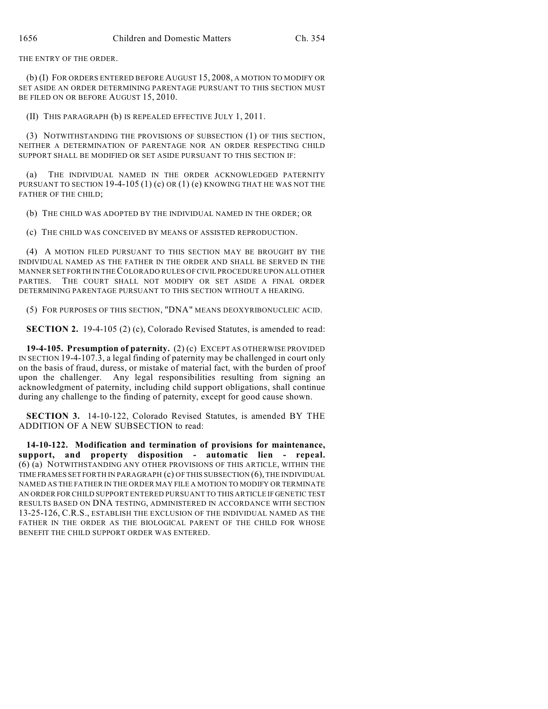THE ENTRY OF THE ORDER.

(b) (I) FOR ORDERS ENTERED BEFORE AUGUST 15, 2008, A MOTION TO MODIFY OR SET ASIDE AN ORDER DETERMINING PARENTAGE PURSUANT TO THIS SECTION MUST BE FILED ON OR BEFORE AUGUST 15, 2010.

(II) THIS PARAGRAPH (b) IS REPEALED EFFECTIVE JULY 1, 2011.

(3) NOTWITHSTANDING THE PROVISIONS OF SUBSECTION (1) OF THIS SECTION, NEITHER A DETERMINATION OF PARENTAGE NOR AN ORDER RESPECTING CHILD SUPPORT SHALL BE MODIFIED OR SET ASIDE PURSUANT TO THIS SECTION IF:

(a) THE INDIVIDUAL NAMED IN THE ORDER ACKNOWLEDGED PATERNITY PURSUANT TO SECTION 19-4-105 (1) (c) OR (1) (e) KNOWING THAT HE WAS NOT THE FATHER OF THE CHILD;

(b) THE CHILD WAS ADOPTED BY THE INDIVIDUAL NAMED IN THE ORDER; OR

(c) THE CHILD WAS CONCEIVED BY MEANS OF ASSISTED REPRODUCTION.

(4) A MOTION FILED PURSUANT TO THIS SECTION MAY BE BROUGHT BY THE INDIVIDUAL NAMED AS THE FATHER IN THE ORDER AND SHALL BE SERVED IN THE MANNER SET FORTH IN THE COLORADO RULES OF CIVIL PROCEDURE UPON ALL OTHER PARTIES. THE COURT SHALL NOT MODIFY OR SET ASIDE A FINAL ORDER DETERMINING PARENTAGE PURSUANT TO THIS SECTION WITHOUT A HEARING.

(5) FOR PURPOSES OF THIS SECTION, "DNA" MEANS DEOXYRIBONUCLEIC ACID.

**SECTION 2.** 19-4-105 (2) (c), Colorado Revised Statutes, is amended to read:

**19-4-105. Presumption of paternity.** (2) (c) EXCEPT AS OTHERWISE PROVIDED IN SECTION 19-4-107.3, a legal finding of paternity may be challenged in court only on the basis of fraud, duress, or mistake of material fact, with the burden of proof upon the challenger. Any legal responsibilities resulting from signing an acknowledgment of paternity, including child support obligations, shall continue during any challenge to the finding of paternity, except for good cause shown.

**SECTION 3.** 14-10-122, Colorado Revised Statutes, is amended BY THE ADDITION OF A NEW SUBSECTION to read:

**14-10-122. Modification and termination of provisions for maintenance, support, and property disposition - automatic lien - repeal.** (6) (a) NOTWITHSTANDING ANY OTHER PROVISIONS OF THIS ARTICLE, WITHIN THE TIME FRAMES SET FORTH IN PARAGRAPH (c) OF THIS SUBSECTION (6), THE INDIVIDUAL NAMED AS THE FATHER IN THE ORDER MAY FILE A MOTION TO MODIFY OR TERMINATE AN ORDER FOR CHILD SUPPORT ENTERED PURSUANT TO THIS ARTICLE IF GENETIC TEST RESULTS BASED ON DNA TESTING, ADMINISTERED IN ACCORDANCE WITH SECTION 13-25-126, C.R.S., ESTABLISH THE EXCLUSION OF THE INDIVIDUAL NAMED AS THE FATHER IN THE ORDER AS THE BIOLOGICAL PARENT OF THE CHILD FOR WHOSE BENEFIT THE CHILD SUPPORT ORDER WAS ENTERED.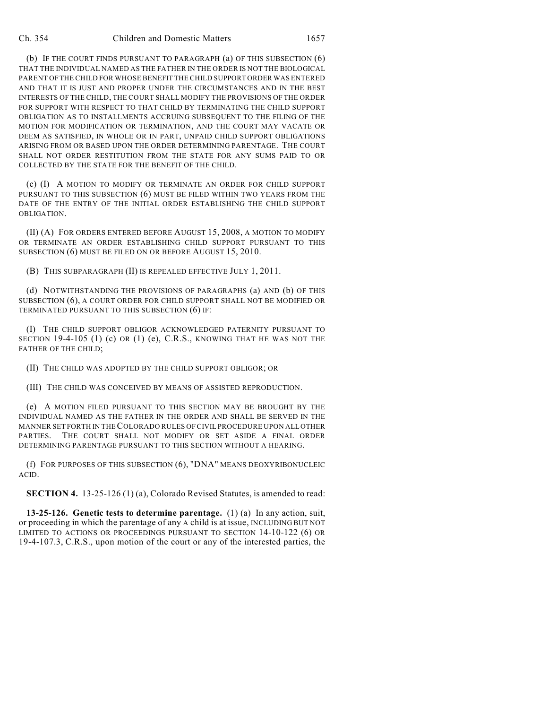(b) IF THE COURT FINDS PURSUANT TO PARAGRAPH (a) OF THIS SUBSECTION (6) THAT THE INDIVIDUAL NAMED AS THE FATHER IN THE ORDER IS NOT THE BIOLOGICAL PARENT OF THE CHILD FOR WHOSE BENEFIT THE CHILD SUPPORT ORDER WAS ENTERED AND THAT IT IS JUST AND PROPER UNDER THE CIRCUMSTANCES AND IN THE BEST INTERESTS OF THE CHILD, THE COURT SHALL MODIFY THE PROVISIONS OF THE ORDER FOR SUPPORT WITH RESPECT TO THAT CHILD BY TERMINATING THE CHILD SUPPORT OBLIGATION AS TO INSTALLMENTS ACCRUING SUBSEQUENT TO THE FILING OF THE MOTION FOR MODIFICATION OR TERMINATION, AND THE COURT MAY VACATE OR DEEM AS SATISFIED, IN WHOLE OR IN PART, UNPAID CHILD SUPPORT OBLIGATIONS ARISING FROM OR BASED UPON THE ORDER DETERMINING PARENTAGE. THE COURT SHALL NOT ORDER RESTITUTION FROM THE STATE FOR ANY SUMS PAID TO OR COLLECTED BY THE STATE FOR THE BENEFIT OF THE CHILD.

(c) (I) A MOTION TO MODIFY OR TERMINATE AN ORDER FOR CHILD SUPPORT PURSUANT TO THIS SUBSECTION (6) MUST BE FILED WITHIN TWO YEARS FROM THE DATE OF THE ENTRY OF THE INITIAL ORDER ESTABLISHING THE CHILD SUPPORT OBLIGATION.

(II) (A) FOR ORDERS ENTERED BEFORE AUGUST 15, 2008, A MOTION TO MODIFY OR TERMINATE AN ORDER ESTABLISHING CHILD SUPPORT PURSUANT TO THIS SUBSECTION (6) MUST BE FILED ON OR BEFORE AUGUST 15, 2010.

(B) THIS SUBPARAGRAPH (II) IS REPEALED EFFECTIVE JULY 1, 2011.

(d) NOTWITHSTANDING THE PROVISIONS OF PARAGRAPHS (a) AND (b) OF THIS SUBSECTION (6), A COURT ORDER FOR CHILD SUPPORT SHALL NOT BE MODIFIED OR TERMINATED PURSUANT TO THIS SUBSECTION (6) IF:

(I) THE CHILD SUPPORT OBLIGOR ACKNOWLEDGED PATERNITY PURSUANT TO SECTION  $19-4-105$  (1) (c) OR (1) (e), C.R.S., KNOWING THAT HE WAS NOT THE FATHER OF THE CHILD;

(II) THE CHILD WAS ADOPTED BY THE CHILD SUPPORT OBLIGOR; OR

(III) THE CHILD WAS CONCEIVED BY MEANS OF ASSISTED REPRODUCTION.

(e) A MOTION FILED PURSUANT TO THIS SECTION MAY BE BROUGHT BY THE INDIVIDUAL NAMED AS THE FATHER IN THE ORDER AND SHALL BE SERVED IN THE MANNER SET FORTH IN THE COLORADO RULES OF CIVIL PROCEDURE UPON ALL OTHER PARTIES. THE COURT SHALL NOT MODIFY OR SET ASIDE A FINAL ORDER DETERMINING PARENTAGE PURSUANT TO THIS SECTION WITHOUT A HEARING.

(f) FOR PURPOSES OF THIS SUBSECTION (6), "DNA" MEANS DEOXYRIBONUCLEIC ACID.

**SECTION 4.** 13-25-126 (1) (a), Colorado Revised Statutes, is amended to read:

**13-25-126. Genetic tests to determine parentage.** (1) (a) In any action, suit, or proceeding in which the parentage of  $\frac{any}{x}$  a child is at issue, INCLUDING BUT NOT LIMITED TO ACTIONS OR PROCEEDINGS PURSUANT TO SECTION 14-10-122 (6) OR 19-4-107.3, C.R.S., upon motion of the court or any of the interested parties, the